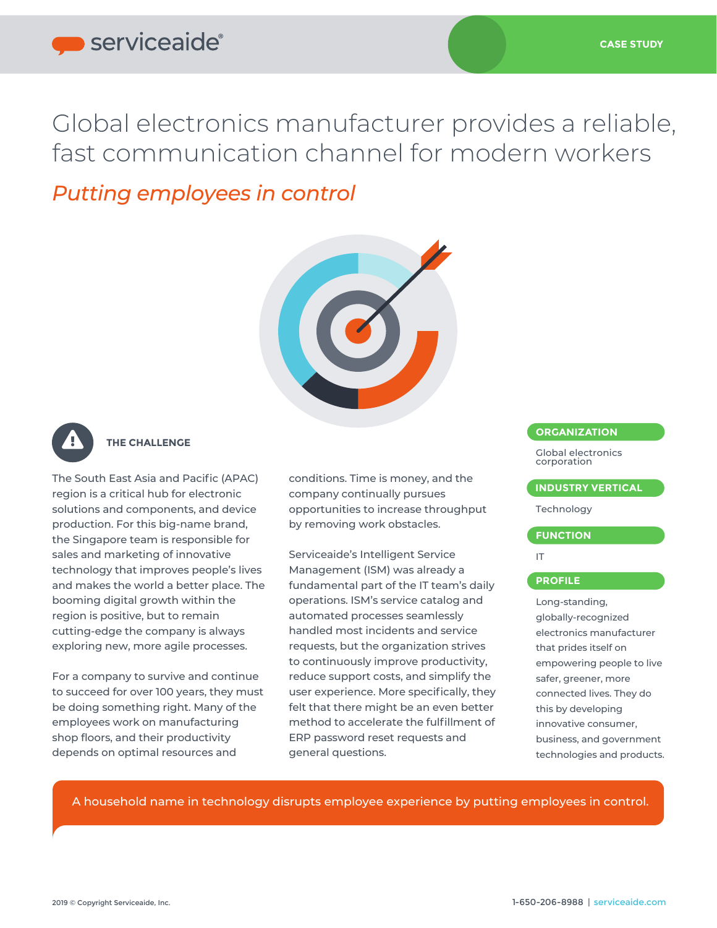# serviceaide®

Global electronics manufacturer provides a reliable, fast communication channel for modern workers

## *Putting employees in control*





## **THE CHALLENGE**

The South East Asia and Pacific (APAC) region is a critical hub for electronic solutions and components, and device production. For this big-name brand, the Singapore team is responsible for sales and marketing of innovative technology that improves people's lives and makes the world a better place. The booming digital growth within the region is positive, but to remain cutting-edge the company is always exploring new, more agile processes.

For a company to survive and continue to succeed for over 100 years, they must be doing something right. Many of the employees work on manufacturing shop floors, and their productivity depends on optimal resources and

L

conditions. Time is money, and the company continually pursues opportunities to increase throughput by removing work obstacles.

Serviceaide's Intelligent Service Management (ISM) was already a fundamental part of the IT team's daily operations. ISM's service catalog and automated processes seamlessly handled most incidents and service requests, but the organization strives to continuously improve productivity, reduce support costs, and simplify the user experience. More specifically, they felt that there might be an even better method to accelerate the fulfillment of ERP password reset requests and general questions.

## **ORGANIZATION**

Global electronics corporation

**INDUSTRY VERTICAL** 

Technology

#### **FUNCTION**

IT

## **PROFILE**

Long-standing, globally-recognized electronics manufacturer that prides itself on empowering people to live safer, greener, more connected lives. They do this by developing innovative consumer, business, and government technologies and products.

A household name in technology disrupts employee experience by putting employees in control.